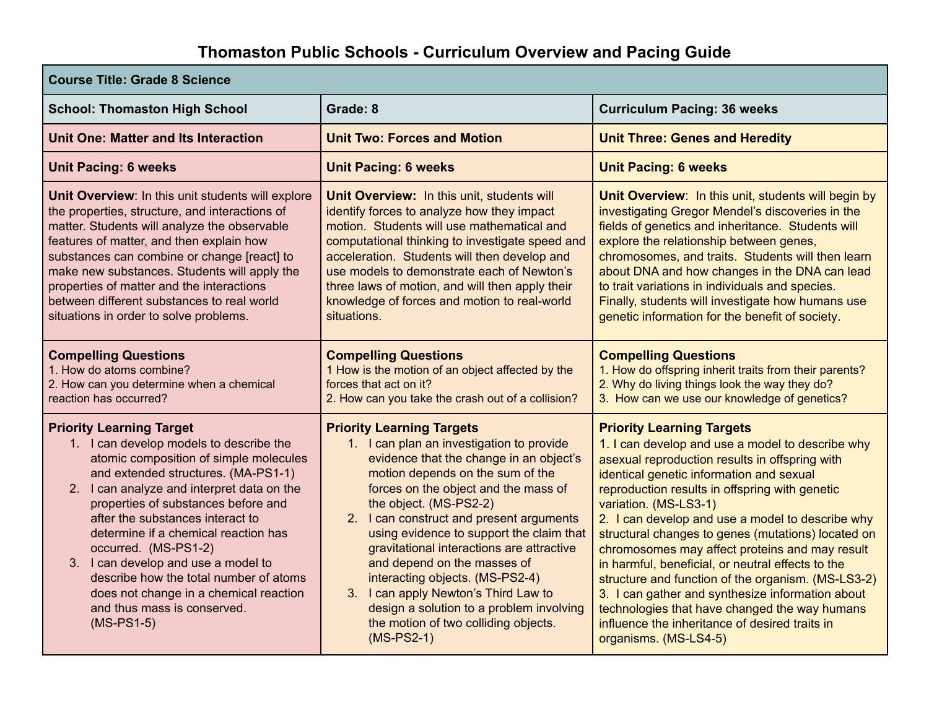## **Thomaston Public Schools - Curriculum Overview and Pacing Guide**

| <b>Course Title: Grade 8 Science</b>                                                                                                                                                                                                                                                                                                                                                                                                                                                                                           |                                                                                                                                                                                                                                                                                                                                                                                                                                                                                                                                                                                   |                                                                                                                                                                                                                                                                                                                                                                                                                                                                                                                                                                                                                                                                                                                      |  |
|--------------------------------------------------------------------------------------------------------------------------------------------------------------------------------------------------------------------------------------------------------------------------------------------------------------------------------------------------------------------------------------------------------------------------------------------------------------------------------------------------------------------------------|-----------------------------------------------------------------------------------------------------------------------------------------------------------------------------------------------------------------------------------------------------------------------------------------------------------------------------------------------------------------------------------------------------------------------------------------------------------------------------------------------------------------------------------------------------------------------------------|----------------------------------------------------------------------------------------------------------------------------------------------------------------------------------------------------------------------------------------------------------------------------------------------------------------------------------------------------------------------------------------------------------------------------------------------------------------------------------------------------------------------------------------------------------------------------------------------------------------------------------------------------------------------------------------------------------------------|--|
| <b>School: Thomaston High School</b>                                                                                                                                                                                                                                                                                                                                                                                                                                                                                           | Grade: 8                                                                                                                                                                                                                                                                                                                                                                                                                                                                                                                                                                          | <b>Curriculum Pacing: 36 weeks</b>                                                                                                                                                                                                                                                                                                                                                                                                                                                                                                                                                                                                                                                                                   |  |
| Unit One: Matter and Its Interaction                                                                                                                                                                                                                                                                                                                                                                                                                                                                                           | <b>Unit Two: Forces and Motion</b>                                                                                                                                                                                                                                                                                                                                                                                                                                                                                                                                                | <b>Unit Three: Genes and Heredity</b>                                                                                                                                                                                                                                                                                                                                                                                                                                                                                                                                                                                                                                                                                |  |
| <b>Unit Pacing: 6 weeks</b>                                                                                                                                                                                                                                                                                                                                                                                                                                                                                                    | <b>Unit Pacing: 6 weeks</b>                                                                                                                                                                                                                                                                                                                                                                                                                                                                                                                                                       | <b>Unit Pacing: 6 weeks</b>                                                                                                                                                                                                                                                                                                                                                                                                                                                                                                                                                                                                                                                                                          |  |
| Unit Overview: In this unit students will explore<br>the properties, structure, and interactions of<br>matter. Students will analyze the observable<br>features of matter, and then explain how<br>substances can combine or change [react] to<br>make new substances. Students will apply the<br>properties of matter and the interactions<br>between different substances to real world<br>situations in order to solve problems.                                                                                            | Unit Overview: In this unit, students will<br>identify forces to analyze how they impact<br>motion. Students will use mathematical and<br>computational thinking to investigate speed and<br>acceleration. Students will then develop and<br>use models to demonstrate each of Newton's<br>three laws of motion, and will then apply their<br>knowledge of forces and motion to real-world<br>situations.                                                                                                                                                                         | Unit Overview: In this unit, students will begin by<br>investigating Gregor Mendel's discoveries in the<br>fields of genetics and inheritance. Students will<br>explore the relationship between genes,<br>chromosomes, and traits. Students will then learn<br>about DNA and how changes in the DNA can lead<br>to trait variations in individuals and species.<br>Finally, students will investigate how humans use<br>genetic information for the benefit of society.                                                                                                                                                                                                                                             |  |
| <b>Compelling Questions</b><br>1. How do atoms combine?<br>2. How can you determine when a chemical<br>reaction has occurred?                                                                                                                                                                                                                                                                                                                                                                                                  | <b>Compelling Questions</b><br>1 How is the motion of an object affected by the<br>forces that act on it?<br>2. How can you take the crash out of a collision?                                                                                                                                                                                                                                                                                                                                                                                                                    | <b>Compelling Questions</b><br>1. How do offspring inherit traits from their parents?<br>2. Why do living things look the way they do?<br>3. How can we use our knowledge of genetics?                                                                                                                                                                                                                                                                                                                                                                                                                                                                                                                               |  |
| <b>Priority Learning Target</b><br>1. I can develop models to describe the<br>atomic composition of simple molecules<br>and extended structures. (MA-PS1-1)<br>2. I can analyze and interpret data on the<br>properties of substances before and<br>after the substances interact to<br>determine if a chemical reaction has<br>occurred. (MS-PS1-2)<br>3. I can develop and use a model to<br>describe how the total number of atoms<br>does not change in a chemical reaction<br>and thus mass is conserved.<br>$(MS-PS1-5)$ | <b>Priority Learning Targets</b><br>1. I can plan an investigation to provide<br>evidence that the change in an object's<br>motion depends on the sum of the<br>forces on the object and the mass of<br>the object. (MS-PS2-2)<br>2. I can construct and present arguments<br>using evidence to support the claim that<br>gravitational interactions are attractive<br>and depend on the masses of<br>interacting objects. (MS-PS2-4)<br>3. I can apply Newton's Third Law to<br>design a solution to a problem involving<br>the motion of two colliding objects.<br>$(MS-PS2-1)$ | <b>Priority Learning Targets</b><br>1. I can develop and use a model to describe why<br>asexual reproduction results in offspring with<br>identical genetic information and sexual<br>reproduction results in offspring with genetic<br>variation. (MS-LS3-1)<br>2. I can develop and use a model to describe why<br>structural changes to genes (mutations) located on<br>chromosomes may affect proteins and may result<br>in harmful, beneficial, or neutral effects to the<br>structure and function of the organism. (MS-LS3-2)<br>3. I can gather and synthesize information about<br>technologies that have changed the way humans<br>influence the inheritance of desired traits in<br>organisms. (MS-LS4-5) |  |